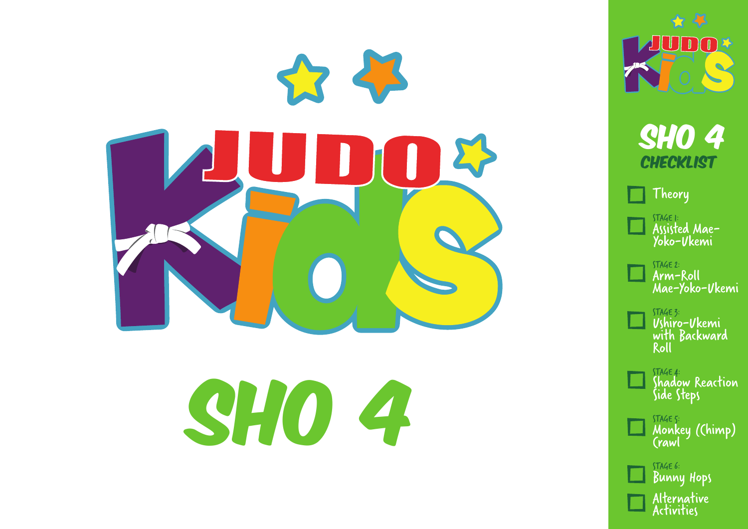

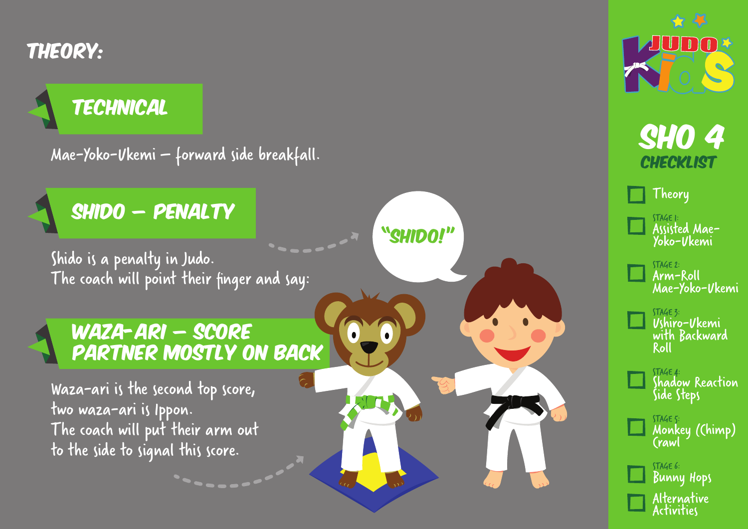Theory:

### **TECHNICAL**

Mae-Yoko-Ukemi – forward side breakfall.



Shido is a penalty in Judo. The coach will point their finger and say: "SHIDO!"

6

 $\bullet$ 

#### Waza-ari – score partner mostly on back

Waza-ari is the second top score, two waza-ari is Ippon. The coach will put their arm out to the side to signal this score.

 $\leftrightarrow$   $\rightarrow$  $\blacksquare$ 



Alternative Activities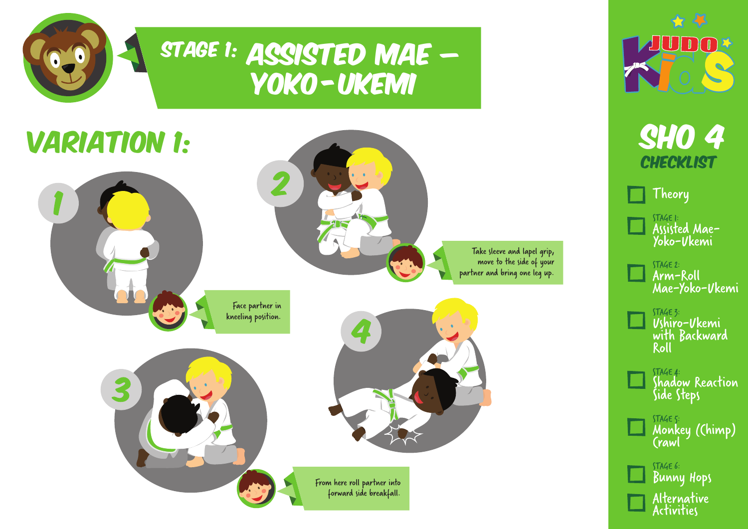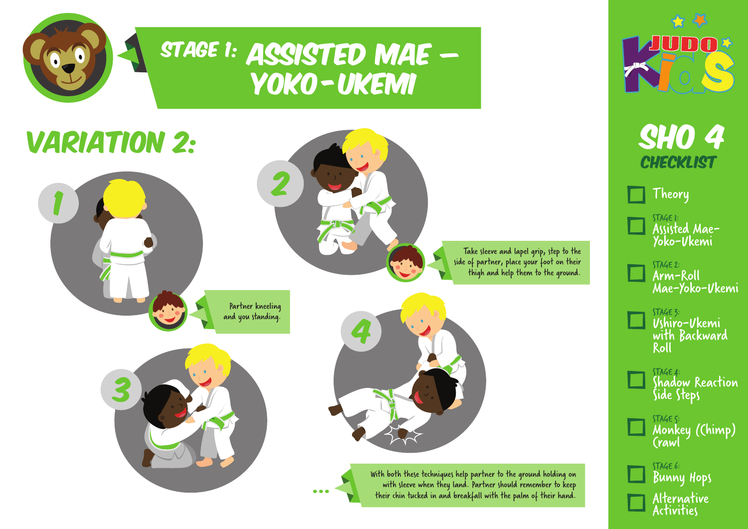

### STAGE 1: ASSISTED MAE – Yoko -Ukemi

## **VARIATION 2:**



Partner kneeling and you standing.



Take sleeve and lapel grip, step to the side of partner, place your foot on their thigh and help them to the ground.



With both these techniques help partner to the ground holding on with sleeve when they land. Partner should remember to keep<br>their chin tucked in and breakfall with the palm of their hand.



**SHO 4 CHECKLIST** 

Theory

STAGE 1: Assisted Mae-Yoko-Ukemi

STAGE 2: Arm-Roll Mae-Yoko-Ukemi

STAGE 3: Ushiro-Ukemi with Backward Roll

STAGE 4: Shadow Reaction Side Steps

STAGE 5: Monkey (Chimp) Crawl

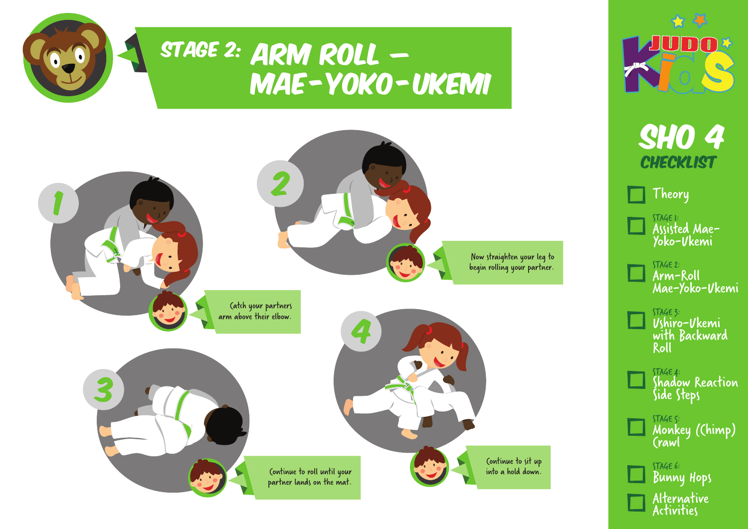





**SHO 4 CHECKLIST** 

Theory

STAGE 1: Assisted Mae-Yoko-Ukemi

STAGE 2: Arm-Roll Mae-Yoko-Ukemi

STAGE 3: Ushiro-Ukemi with Backward Roll

STAGE 4: Shadow Reaction Side Steps

STAGE 5: Monkey (Chimp) Crawl

STAGE 6: Bunny Hops Alternative Activities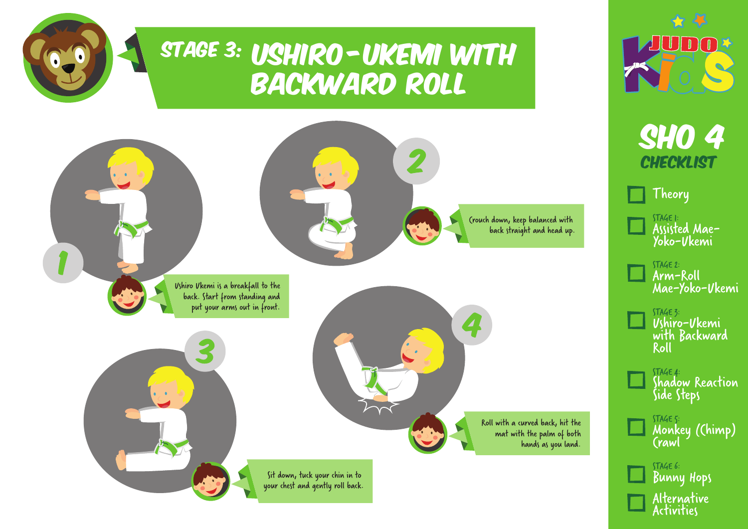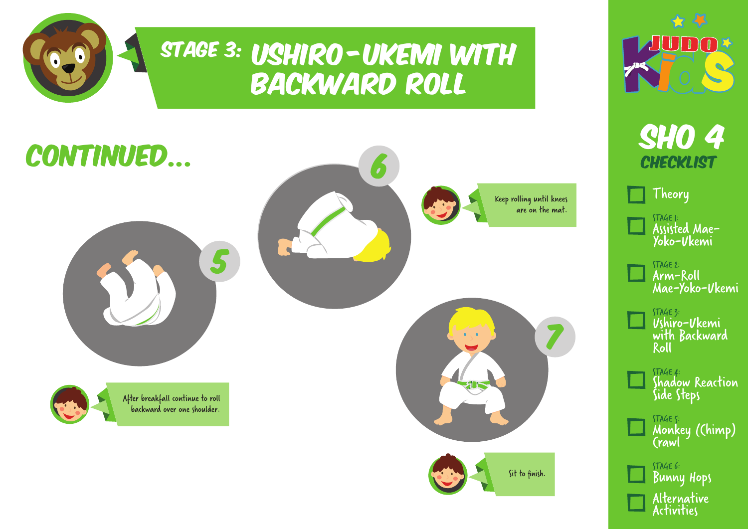

### STAGE 3: USHIRO-UKEMI WITH backward roll





**CHECKLIST** 

Theory

STAGE 1: Assisted Mae-Yoko-Ukemi

STAGE 2: Arm-Roll Mae-Yoko-Ukemi

STAGE 3: Ushiro-Ukemi with Backward Roll

STAGE 4: Shadow Reaction Side Steps

STAGE 5: Monkey (Chimp) Crawl

STAGE 6: Bunny Hops Alternative Activities

Sit to finish.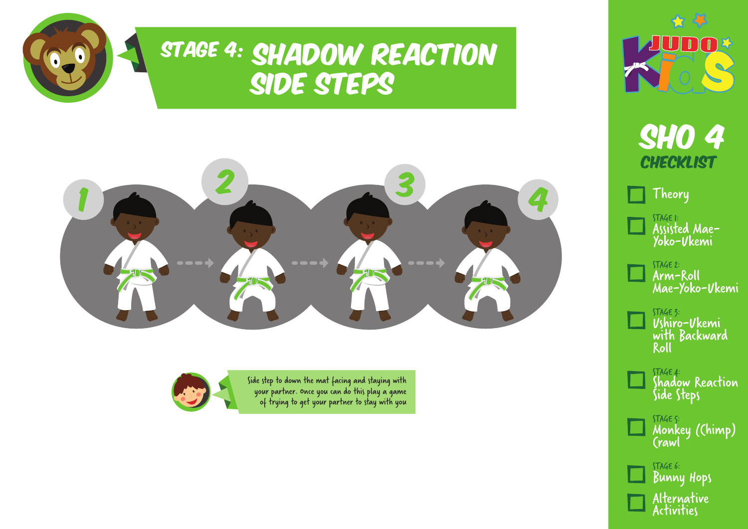

## STAGE 4: SHADOW REACTION Side Steps



Side step to down the mat facing and staying with your partner. Once you can do this play a game of trying to get your partner to stay with you





**SHO 4 CHECKLIST** 

Theory

STAGE 1: Assisted Mae-Yoko-Ukemi

STAGE 2: Arm-Roll Mae-Yoko-Ukemi

STAGE 3: Ushiro-Ukemi with Backward Roll

STAGE 4: Shadow Reaction Side Steps

STAGE 5: Monkey (Chimp) Crawl

STAGE 6: Bunny Hops Alternative Activities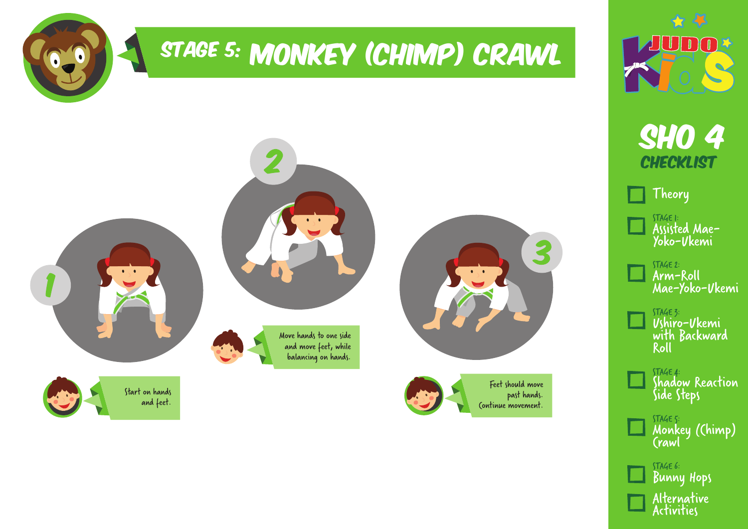

# STAGE 5: MONKEY (CHIMP) CRAWL





**SHO 4 CHECKLIST** 

Theory

STAGE 1: Assisted Mae-Yoko-Ukemi

STAGE 2: Arm-Roll Mae-Yoko-Ukemi

STAGE 3: Ushiro-Ukemi with Backward Roll

STAGE 4: Shadow Reaction Side Steps

STAGE 5: Monkey (Chimp) Crawl

STAGE 6: Bunny Hops Alternative Activities